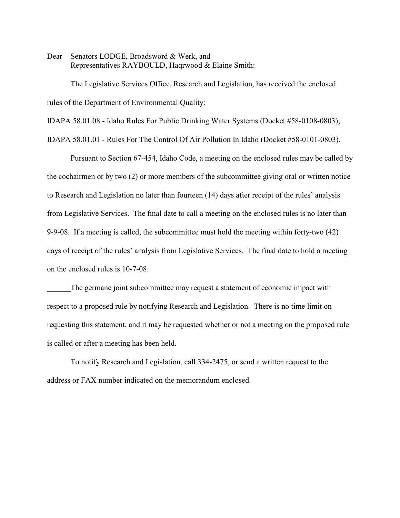Dear Senators LODGE, Broadsword & Werk, and Representatives RAYBOULD, Haqrwood & Elaine Smith:

The Legislative Services Office, Research and Legislation, has received the enclosed rules of the Department of Environmental Quality:

IDAPA 58.01.08 - Idaho Rules For Public Drinking Water Systems (Docket #58-0108-0803);

IDAPA 58.01.01 - Rules For The Control Of Air Pollution In Idaho (Docket #58-0101-0803).

Pursuant to Section 67-454, Idaho Code, a meeting on the enclosed rules may be called by the cochairmen or by two (2) or more members of the subcommittee giving oral or written notice to Research and Legislation no later than fourteen (14) days after receipt of the rules' analysis from Legislative Services. The final date to call a meeting on the enclosed rules is no later than 9-9-08. If a meeting is called, the subcommittee must hold the meeting within forty-two (42) days of receipt of the rules' analysis from Legislative Services. The final date to hold a meeting on the enclosed rules is 10-7-08.

The germane joint subcommittee may request a statement of economic impact with respect to a proposed rule by notifying Research and Legislation. There is no time limit on requesting this statement, and it may be requested whether or not a meeting on the proposed rule is called or after a meeting has been held.

To notify Research and Legislation, call 334-2475, or send a written request to the address or FAX number indicated on the memorandum enclosed.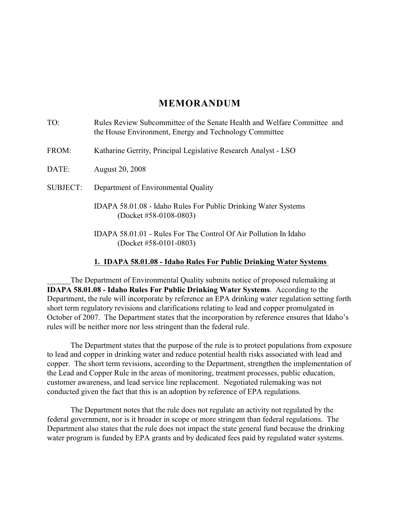## **MEMORANDUM**

| Rules Review Subcommittee of the Senate Health and Welfare Committee and<br>the House Environment, Energy and Technology Committee |
|------------------------------------------------------------------------------------------------------------------------------------|
| Katharine Gerrity, Principal Legislative Research Analyst - LSO                                                                    |
| <b>August 20, 2008</b>                                                                                                             |
| Department of Environmental Quality                                                                                                |
| IDAPA 58.01.08 - Idaho Rules For Public Drinking Water Systems<br>(Docket #58-0108-0803)                                           |
| IDAPA 58.01.01 - Rules For The Control Of Air Pollution In Idaho<br>(Docket #58-0101-0803)                                         |
|                                                                                                                                    |

#### **1. IDAPA 58.01.08 - Idaho Rules For Public Drinking Water Systems**

The Department of Environmental Quality submits notice of proposed rulemaking at **IDAPA 58.01.08 - Idaho Rules For Public Drinking Water Systems**. According to the Department, the rule will incorporate by reference an EPA drinking water regulation setting forth short term regulatory revisions and clarifications relating to lead and copper promulgated in October of 2007. The Department states that the incorporation by reference ensures that Idaho's rules will be neither more nor less stringent than the federal rule.

The Department states that the purpose of the rule is to protect populations from exposure to lead and copper in drinking water and reduce potential health risks associated with lead and copper. The short term revisions, according to the Department, strengthen the implementation of the Lead and Copper Rule in the areas of monitoring, treatment processes, public education, customer awareness, and lead service line replacement. Negotiated rulemaking was not conducted given the fact that this is an adoption by reference of EPA regulations.

The Department notes that the rule does not regulate an activity not regulated by the federal government, nor is it broader in scope or more stringent than federal regulations. The Department also states that the rule does not impact the state general fund because the drinking water program is funded by EPA grants and by dedicated fees paid by regulated water systems.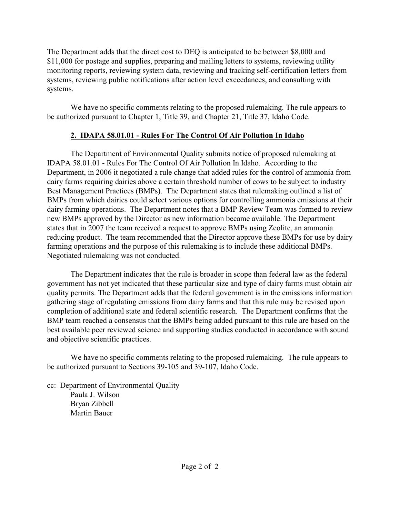The Department adds that the direct cost to DEQ is anticipated to be between \$8,000 and \$11,000 for postage and supplies, preparing and mailing letters to systems, reviewing utility monitoring reports, reviewing system data, reviewing and tracking self-certification letters from systems, reviewing public notifications after action level exceedances, and consulting with systems.

We have no specific comments relating to the proposed rulemaking. The rule appears to be authorized pursuant to Chapter 1, Title 39, and Chapter 21, Title 37, Idaho Code.

# **2. IDAPA 58.01.01 - Rules For The Control Of Air Pollution In Idaho**

The Department of Environmental Quality submits notice of proposed rulemaking at IDAPA 58.01.01 - Rules For The Control Of Air Pollution In Idaho. According to the Department, in 2006 it negotiated a rule change that added rules for the control of ammonia from dairy farms requiring dairies above a certain threshold number of cows to be subject to industry Best Management Practices (BMPs). The Department states that rulemaking outlined a list of BMPs from which dairies could select various options for controlling ammonia emissions at their dairy farming operations. The Department notes that a BMP Review Team was formed to review new BMPs approved by the Director as new information became available. The Department states that in 2007 the team received a request to approve BMPs using Zeolite, an ammonia reducing product. The team recommended that the Director approve these BMPs for use by dairy farming operations and the purpose of this rulemaking is to include these additional BMPs. Negotiated rulemaking was not conducted.

The Department indicates that the rule is broader in scope than federal law as the federal government has not yet indicated that these particular size and type of dairy farms must obtain air quality permits. The Department adds that the federal government is in the emissions information gathering stage of regulating emissions from dairy farms and that this rule may be revised upon completion of additional state and federal scientific research. The Department confirms that the BMP team reached a consensus that the BMPs being added pursuant to this rule are based on the best available peer reviewed science and supporting studies conducted in accordance with sound and objective scientific practices.

We have no specific comments relating to the proposed rulemaking. The rule appears to be authorized pursuant to Sections 39-105 and 39-107, Idaho Code.

cc: Department of Environmental Quality Paula J. Wilson Bryan Zibbell Martin Bauer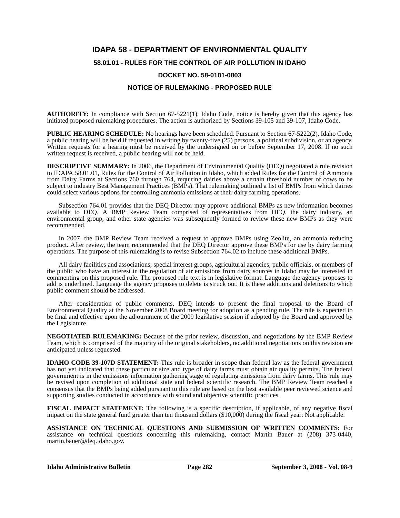# **IDAPA 58 - DEPARTMENT OF ENVIRONMENTAL QUALITY**

### **58.01.01 - RULES FOR THE CONTROL OF AIR POLLUTION IN IDAHO**

#### **DOCKET NO. 58-0101-0803**

### **NOTICE OF RULEMAKING - PROPOSED RULE**

**AUTHORITY:** In compliance with Section 67-5221(1), Idaho Code, notice is hereby given that this agency has initiated proposed rulemaking procedures. The action is authorized by Sections 39-105 and 39-107, Idaho Code.

**PUBLIC HEARING SCHEDULE:** No hearings have been scheduled. Pursuant to Section 67-5222(2), Idaho Code, a public hearing will be held if requested in writing by twenty-five (25) persons, a political subdivision, or an agency. Written requests for a hearing must be received by the undersigned on or before September 17, 2008. If no such written request is received, a public hearing will not be held.

**DESCRIPTIVE SUMMARY:** In 2006, the Department of Environmental Quality (DEQ) negotiated a rule revision to IDAPA 58.01.01, Rules for the Control of Air Pollution in Idaho, which added Rules for the Control of Ammonia from Dairy Farms at Sections 760 through 764, requiring dairies above a certain threshold number of cows to be subject to industry Best Management Practices (BMPs). That rulemaking outlined a list of BMPs from which dairies could select various options for controlling ammonia emissions at their dairy farming operations.

Subsection 764.01 provides that the DEQ Director may approve additional BMPs as new information becomes available to DEQ. A BMP Review Team comprised of representatives from DEQ, the dairy industry, an environmental group, and other state agencies was subsequently formed to review these new BMPs as they were recommended.

In 2007, the BMP Review Team received a request to approve BMPs using Zeolite, an ammonia reducing product. After review, the team recommended that the DEQ Director approve these BMPs for use by dairy farming operations. The purpose of this rulemaking is to revise Subsection  $764.02$  to include these additional BMPs.

All dairy facilities and associations, special interest groups, agricultural agencies, public officials, or members of the public who have an interest in the regulation of air emissions from dairy sources in Idaho may be interested in commenting on this proposed rule. The proposed rule text is in legislative format. Language the agency proposes to add is underlined. Language the agency proposes to delete is struck out. It is these additions and deletions to which public comment should be addressed.

After consideration of public comments, DEQ intends to present the final proposal to the Board of Environmental Quality at the November 2008 Board meeting for adoption as a pending rule. The rule is expected to be final and effective upon the adjournment of the 2009 legislative session if adopted by the Board and approved by the Legislature.

**NEGOTIATED RULEMAKING:** Because of the prior review, discussion, and negotiations by the BMP Review Team, which is comprised of the majority of the original stakeholders, no additional negotiations on this revision are anticipated unless requested.

**IDAHO CODE 39-107D STATEMENT:** This rule is broader in scope than federal law as the federal government has not yet indicated that these particular size and type of dairy farms must obtain air quality permits. The federal government is in the emissions information gathering stage of regulating emissions from dairy farms. This rule may be revised upon completion of additional state and federal scientific research. The BMP Review Team reached a consensus that the BMPs being added pursuant to this rule are based on the best available peer reviewed science and supporting studies conducted in accordance with sound and objective scientific practices.

**FISCAL IMPACT STATEMENT:** The following is a specific description, if applicable, of any negative fiscal impact on the state general fund greater than ten thousand dollars (\$10,000) during the fiscal year: Not applicable.

**ASSISTANCE ON TECHNICAL QUESTIONS AND SUBMISSION OF WRITTEN COMMENTS:** For assistance on technical questions concerning this rulemaking, contact Martin Bauer at (208) 373-0440, martin.bauer@deq.idaho.gov.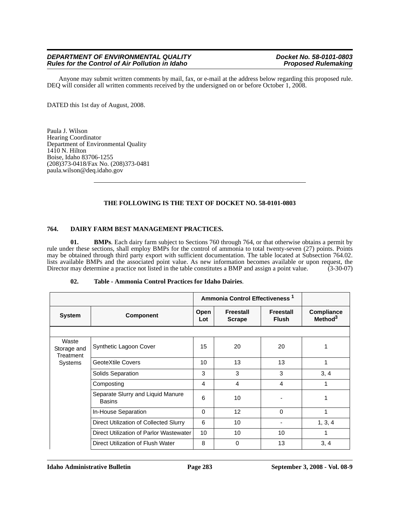#### *DEPARTMENT OF ENVIRONMENTAL QUALITY Department Docket No. 58-0101-0803*<br>Rules for the Control of Air Pollution in Idaho *Proposed Rulemaking Rules for the Control of Air Pollution in Idaho*

Anyone may submit written comments by mail, fax, or e-mail at the address below regarding this proposed rule. DEQ will consider all written comments received by the undersigned on or before October 1, 2008.

DATED this 1st day of August, 2008.

Paula J. Wilson Hearing Coordinator Department of Environmental Quality  $1410$  N. Hilton Boise, Idaho 83706-1255 (208)373-0418/Fax No. (208)373-0481 paula.wilson@deq.idaho.gov

#### **THE FOLLOWING IS THE TEXT OF DOCKET NO. 58-0101-0803**

#### **764. DAIRY FARM BEST MANAGEMENT PRACTICES.**

**01. BMPs**. Each dairy farm subject to Sections 760 through 764, or that otherwise obtains a permit by rule under these sections, shall employ BMPs for the control of ammonia to total twenty-seven (27) points. Points may be obtained through third party export with sufficient documentation. The table located at Subsection 764.02. lists available BMPs and the associated point value. As new information becomes available or upon request, the Director may determine a practice not listed in the table constitutes a BMP and assign a point value. (3-30-07)

| 02.<br>Table - Ammonia Control Practices for Idaho Dairies. |  |
|-------------------------------------------------------------|--|
|-------------------------------------------------------------|--|

|                                              |                                                    |             | Ammonia Control Effectiveness <sup>1</sup> |                           |                                   |
|----------------------------------------------|----------------------------------------------------|-------------|--------------------------------------------|---------------------------|-----------------------------------|
| <b>System</b>                                | <b>Component</b>                                   | Open<br>Lot | Freestall<br><b>Scrape</b>                 | Freestall<br><b>Flush</b> | Compliance<br>Method <sup>3</sup> |
|                                              |                                                    |             |                                            |                           |                                   |
| Waste<br>Storage and<br>Treatment<br>Systems | Synthetic Lagoon Cover                             | 15          | 20                                         | 20                        |                                   |
|                                              | GeoteXtile Covers                                  | 10          | 13                                         | 13                        | 1                                 |
|                                              | Solids Separation                                  | 3           | 3                                          | 3                         | 3, 4                              |
|                                              | Composting                                         | 4           | 4                                          | 4                         |                                   |
|                                              | Separate Slurry and Liquid Manure<br><b>Basins</b> | 6           | 10                                         |                           | 1                                 |
|                                              | In-House Separation                                | $\Omega$    | 12                                         | 0                         |                                   |
|                                              | Direct Utilization of Collected Slurry             | 6           | 10                                         |                           | 1, 3, 4                           |
|                                              | Direct Utilization of Parlor Wastewater            | 10          | 10                                         | 10                        |                                   |
|                                              | Direct Utilization of Flush Water                  | 8           | 0                                          | 13                        | 3, 4                              |

**Idaho Administrative Bulletin Page 283 September 3, 2008 - Vol. 08-9**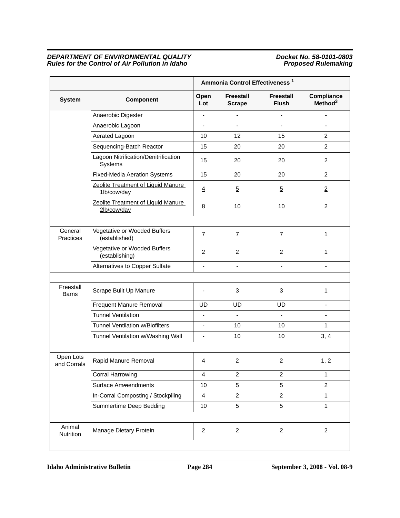#### *DEPARTMENT OF ENVIRONMENTAL QUALITY Docket No. 58-0101-0803 Rules for the Control of Air Pollution in Idaho* **Proposed Rulemaking** *Proposed Rulemaking*

|                           |                                                   | Ammonia Control Effectiveness <sup>1</sup> |                                   |                                  |                                   |
|---------------------------|---------------------------------------------------|--------------------------------------------|-----------------------------------|----------------------------------|-----------------------------------|
| <b>System</b>             | Component                                         | Open<br>Lot                                | <b>Freestall</b><br><b>Scrape</b> | <b>Freestall</b><br><b>Flush</b> | Compliance<br>Method <sup>3</sup> |
|                           | Anaerobic Digester                                | $\blacksquare$                             | $\blacksquare$                    | ÷,                               | ÷,                                |
|                           | Anaerobic Lagoon                                  |                                            |                                   |                                  |                                   |
|                           | Aerated Lagoon                                    | 10                                         | 12                                | 15                               | 2                                 |
|                           | Sequencing-Batch Reactor                          | 15                                         | 20                                | 20                               | $\overline{c}$                    |
|                           | Lagoon Nitrification/Denitrification<br>Systems   | 15                                         | 20                                | 20                               | 2                                 |
|                           | <b>Fixed-Media Aeration Systems</b>               | 15                                         | 20                                | 20                               | $\overline{2}$                    |
|                           | Zeolite Treatment of Liquid Manure<br>1lb/cow/day | $\overline{4}$                             | $\overline{5}$                    | $\overline{5}$                   | $\overline{2}$                    |
|                           | Zeolite Treatment of Liquid Manure<br>2lb/cow/day | 8                                          | 10                                | <u>10</u>                        | $\overline{2}$                    |
|                           |                                                   |                                            |                                   |                                  |                                   |
| General<br>Practices      | Vegetative or Wooded Buffers<br>(established)     | $\overline{7}$                             | $\overline{7}$                    | $\overline{7}$                   | 1                                 |
|                           | Vegetative or Wooded Buffers<br>(establishing)    | $\overline{c}$                             | $\overline{c}$                    | $\overline{c}$                   | 1                                 |
|                           | Alternatives to Copper Sulfate                    | $\blacksquare$                             | $\blacksquare$                    | $\blacksquare$                   | $\blacksquare$                    |
|                           |                                                   |                                            |                                   |                                  |                                   |
| Freestall<br><b>Barns</b> | Scrape Built Up Manure                            |                                            | 3                                 | 3                                | 1                                 |
|                           | Frequent Manure Removal                           | <b>UD</b>                                  | <b>UD</b>                         | <b>UD</b>                        | $\qquad \qquad \blacksquare$      |
|                           | <b>Tunnel Ventilation</b>                         | $\overline{a}$                             | $\blacksquare$                    | $\blacksquare$                   | ÷,                                |
|                           | <b>Tunnel Ventilation w/Biofilters</b>            |                                            | 10                                | 10                               | 1                                 |
|                           | Tunnel Ventilation w/Washing Wall                 | $\overline{\phantom{a}}$                   | 10                                | 10                               | 3, 4                              |
|                           |                                                   |                                            |                                   |                                  |                                   |
| Open Lots<br>and Corrals  | Rapid Manure Removal                              | 4                                          | 2                                 | 2                                | 1, 2                              |
|                           | Corral Harrowing                                  | $\overline{4}$                             | $\overline{2}$                    | $\overline{c}$                   | 1                                 |
|                           | Surface Ammendments                               | 10                                         | 5                                 | 5                                | $\overline{2}$                    |
|                           | In-Corral Composting / Stockpiling                | $\overline{4}$                             | $\overline{2}$                    | $\overline{2}$                   | $\mathbf{1}$                      |
|                           | Summertime Deep Bedding                           | 10                                         | 5                                 | 5                                | $\mathbf{1}$                      |
| Animal<br>Nutrition       | Manage Dietary Protein                            | $\overline{2}$                             | $\overline{2}$                    | $\overline{2}$                   | $\overline{2}$                    |

**Idaho Administrative Bulletin Page 284 September 3, 2008 - Vol. 08-9**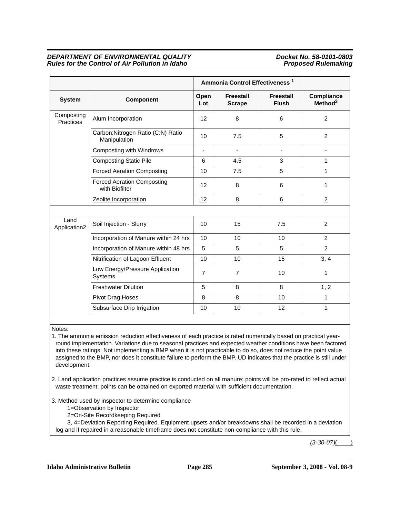#### *DEPARTMENT OF ENVIRONMENTAL QUALITY Department Docket No. 58-0101-0803*<br>Rules for the Control of Air Pollution in Idaho *Proposed Rulemaking Rules for the Control of Air Pollution in Idaho*

|                                |                                                     | Ammonia Control Effectiveness <sup>1</sup> |                                   |                                  |                                          |
|--------------------------------|-----------------------------------------------------|--------------------------------------------|-----------------------------------|----------------------------------|------------------------------------------|
| <b>System</b>                  | <b>Component</b>                                    | Open<br>Lot                                | <b>Freestall</b><br><b>Scrape</b> | <b>Freestall</b><br><b>Flush</b> | <b>Compliance</b><br>Method <sup>3</sup> |
| Composting<br><b>Practices</b> | Alum Incorporation                                  | 12                                         | 8                                 | 6                                | 2                                        |
|                                | Carbon: Nitrogen Ratio (C:N) Ratio<br>Manipulation  | 10                                         | 7.5                               | 5                                | $\overline{2}$                           |
|                                | Composting with Windrows                            | ÷,                                         | $\blacksquare$                    | $\overline{\phantom{a}}$         | $\overline{\phantom{a}}$                 |
|                                | <b>Composting Static Pile</b>                       | 6                                          | 4.5                               | 3                                | $\mathbf 1$                              |
|                                | <b>Forced Aeration Composting</b>                   | 10                                         | 7.5                               | 5                                | 1                                        |
|                                | <b>Forced Aeration Composting</b><br>with Biofilter | 12                                         | 8                                 | 6                                | 1                                        |
|                                | Zeolite Incorporation                               | 12                                         | 8                                 | $6\overline{6}$                  | $\overline{2}$                           |
|                                |                                                     |                                            |                                   |                                  |                                          |
| Land<br>Application2           | Soil Injection - Slurry                             | 10                                         | 15                                | 7.5                              | 2                                        |
|                                | Incorporation of Manure within 24 hrs               | 10                                         | 10                                | 10                               | $\overline{2}$                           |
|                                | Incorporation of Manure within 48 hrs               | 5                                          | 5                                 | 5                                | $\overline{2}$                           |
|                                | Nitrification of Lagoon Effluent                    | 10                                         | 10                                | 15                               | 3, 4                                     |
|                                | Low Energy/Pressure Application<br>Systems          | $\overline{7}$                             | $\overline{7}$                    | 10                               | 1                                        |
|                                | <b>Freshwater Dilution</b>                          | 5                                          | 8                                 | 8                                | 1, 2                                     |
|                                | Pivot Drag Hoses                                    | 8                                          | 8                                 | 10                               | 1                                        |
|                                | Subsurface Drip Irrigation                          | 10                                         | 10                                | 12                               | 1                                        |

Notes:

1. The ammonia emission reduction effectiveness of each practice is rated numerically based on practical yearround implementation. Variations due to seasonal practices and expected weather conditions have been factored into these ratings. Not implementing a BMP when it is not practicable to do so, does not reduce the point value assigned to the BMP, nor does it constitute failure to perform the BMP. UD indicates that the practice is still under development.

2. Land application practices assume practice is conducted on all manure; points will be pro-rated to reflect actual waste treatment; points can be obtained on exported material with sufficient documentation.

3. Method used by inspector to determine compliance

1=Observation by Inspector

2=On-Site Recordkeeping Required

3, 4=Deviation Reporting Required. Equipment upsets and/or breakdowns shall be recorded in a deviation log and if repaired in a reasonable timeframe does not constitute non-compliance with this rule.

*(3-30-07)*( )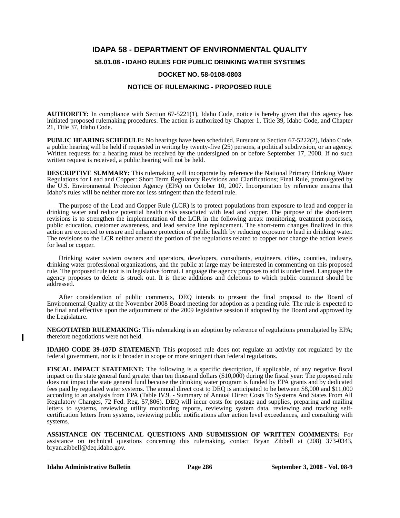### **IDAPA 58 - DEPARTMENT OF ENVIRONMENTAL QUALITY**

#### **58.01.08 - IDAHO RULES FOR PUBLIC DRINKING WATER SYSTEMS**

#### **DOCKET NO. 58-0108-0803**

#### **NOTICE OF RULEMAKING - PROPOSED RULE**

**AUTHORITY:** In compliance with Section 67-5221(1), Idaho Code, notice is hereby given that this agency has initiated proposed rulemaking procedures. The action is authorized by Chapter 1, Title 39, Idaho Code, and Chapter 21, Title 37, Idaho Code.

**PUBLIC HEARING SCHEDULE:** No hearings have been scheduled. Pursuant to Section 67-5222(2), Idaho Code, a public hearing will be held if requested in writing by twenty-five (25) persons, a political subdivision, or an agency. Written requests for a hearing must be received by the undersigned on or before September 17, 2008. If no such written request is received, a public hearing will not be held.

**DESCRIPTIVE SUMMARY:** This rulemaking will incorporate by reference the National Primary Drinking Water Regulations for Lead and Copper: Short Term Regulatory Revisions and Clarifications; Final Rule, promulgated by the U.S. Environmental Protection Agency (EPA) on October 10, 2007. Incorporation by reference ensures that Idaho's rules will be neither more nor less stringent than the federal rule.

The purpose of the Lead and Copper Rule (LCR) is to protect populations from exposure to lead and copper in drinking water and reduce potential health risks associated with lead and copper. The purpose of the short-term revisions is to strengthen the implementation of the LCR in the following areas: monitoring, treatment processes, public education, customer awareness, and lead service line replacement. The short-term changes finalized in this action are expected to ensure and enhance protection of public health by reducing exposure to lead in drinking water. The revisions to the LCR neither amend the portion of the regulations related to copper nor change the action levels for lead or copper.

Drinking water system owners and operators, developers, consultants, engineers, cities, counties, industry, drinking water professional organizations, and the public at large may be interested in commenting on this proposed rule. The proposed rule text is in legislative format. Language the agency proposes to add is underlined. Language the agency proposes to delete is struck out. It is these additions and deletions to which public comment should be addressed.

After consideration of public comments, DEQ intends to present the final proposal to the Board of Environmental Quality at the November 2008 Board meeting for adoption as a pending rule. The rule is expected to be final and effective upon the adjournment of the 2009 legislative session if adopted by the Board and approved by the Legislature.

**NEGOTIATED RULEMAKING:** This rulemaking is an adoption by reference of regulations promulgated by EPA; therefore negotiations were not held.

**IDAHO CODE 39-107D STATEMENT:** This proposed rule does not regulate an activity not regulated by the federal government, nor is it broader in scope or more stringent than federal regulations.

**FISCAL IMPACT STATEMENT:** The following is a specific description, if applicable, of any negative fiscal impact on the state general fund greater than ten thousand dollars (\$10,000) during the fiscal year: The proposed rule does not impact the state general fund because the drinking water program is funded by EPA grants and by dedicated fees paid by regulated water systems. The annual direct cost to DEQ is anticipated to be between \$8,000 and \$11,000 according to an analysis from EPA (Table IV.9. - Summary of Annual Direct Costs To Systems And States From All Regulatory Changes, 72 Fed. Reg. 57,806). DEQ will incur costs for postage and supplies, preparing and mailing letters to systems, reviewing utility monitoring reports, reviewing system data, reviewing and tracking selfcertification letters from systems, reviewing public notifications after action level exceedances, and consulting with systems.

**ASSISTANCE ON TECHNICAL QUESTIONS AND SUBMISSION OF WRITTEN COMMENTS:** For assistance on technical questions concerning this rulemaking, contact Bryan Zibbell at (208) 373-0343, bryan.zibbell@deq.idaho.gov.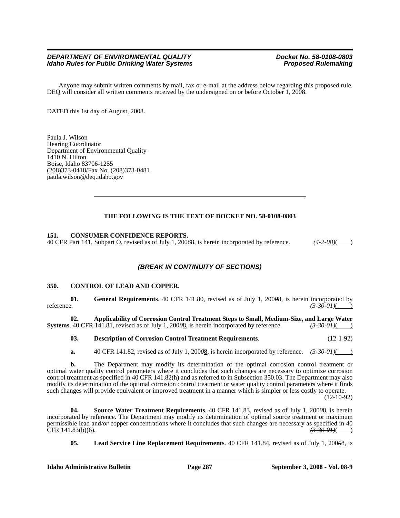#### *DEPARTMENT OF ENVIRONMENTAL QUALITY*<br>Idaho Rules for Public Drinking Water Systems **Department Proposed Rulemaking** *Idaho Rules for Public Drinking Water Systems*

Anyone may submit written comments by mail, fax or e-mail at the address below regarding this proposed rule. DEQ will consider all written comments received by the undersigned on or before October 1, 2008.

DATED this 1st day of August, 2008.

Paula J. Wilson Hearing Coordinator Department of Environmental Quality  $14\overline{1}0$  N. Hilton Boise, Idaho 83706-1255 (208)373-0418/Fax No. (208)373-0481 paula.wilson@deq.idaho.gov

#### **THE FOLLOWING IS THE TEXT OF DOCKET NO. 58-0108-0803**

#### **151. CONSUMER CONFIDENCE REPORTS.**

40 CFR Part 141, Subpart O, revised as of July 1, 200*6*8, is herein incorporated by reference. *(4-2-08)*( )

#### *(BREAK IN CONTINUITY OF SECTIONS)*

#### **350. CONTROL OF LEAD AND COPPER.**

**01.** General Requirements. 40 CFR 141.80, revised as of July 1, 200 $\theta$ <sub>2</sub>, is herein incorporated by  $\theta$ . reference. *(3-30-01)*( )

**02. Applicability of Corrosion Control Treatment Steps to Small, Medium-Size, and Large Water Systems**. 40 CFR 141.81, revised as of July 1, 200<del>0</del>8, is herein incorporated by reference.  $\left(3\text{-}30\text{-}01\right)(\text{ }$ 

**03. Description of Corrosion Control Treatment Requirements**. (12-1-92)

**a.** 40 CFR 141.82, revised as of July 1, 200<del>0</del>8, is herein incorporated by reference.  $\left(3-30-01\right)$ 

**b.** The Department may modify its determination of the optimal corrosion control treatment or optimal water quality control parameters where it concludes that such changes are necessary to optimize corrosion control treatment as specified in 40 CFR 141.82(h) and as referred to in Subsection 350.03. The Department may also modify its determination of the optimal corrosion control treatment or water quality control parameters where it finds such changes will provide equivalent or improved treatment in a manner which is simpler or less costly to operate. (12-10-92)

**04. Source Water Treatment Requirements**. 40 CFR 141.83, revised as of July 1, 200*0*8, is herein incorporated by reference. The Department may modify its determination of optimal source treatment or maximum permissible lead and */or* copper concentrations where it concludes that such changes are necessary as specified in 40<br>CFR 141.83(b)(6). (3-30-01) CFR 141.83(b)(6). *(3-30-01)*( )

**05. Lead Service Line Replacement Requirements**. 40 CFR 141.84, revised as of July 1, 200*0*8, is